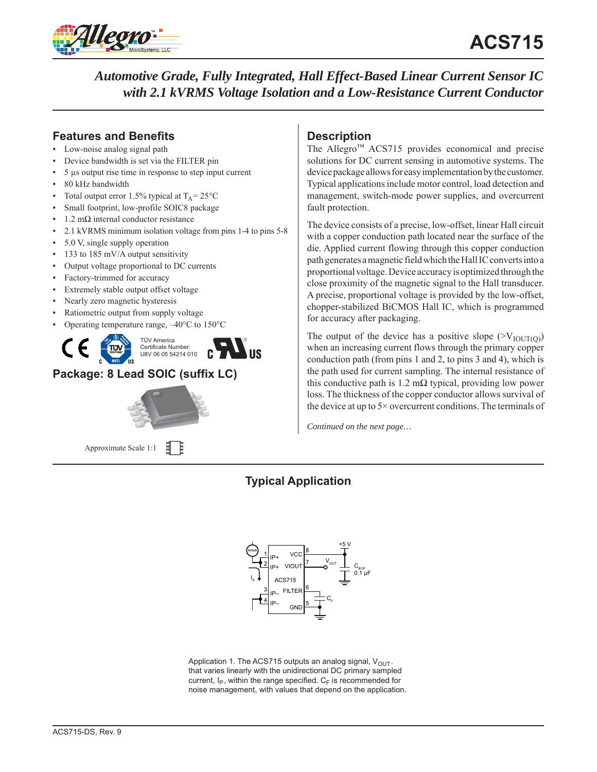

*Automotive Grade, Fully Integrated, Hall Effect-Based Linear Current Sensor IC with 2.1 kVRMS Voltage Isolation and a Low-Resistance Current Conductor*

# **Features and Benefits**

- Low-noise analog signal path
- Device bandwidth is set via the FILTER pin
- 5 μs output rise time in response to step input current
- 80 kHz bandwidth
- Total output error 1.5% typical at  $T_A = 25^{\circ}C$
- Small footprint, low-profile SOIC8 package
- $1.2$  mΩ internal conductor resistance
- 2.1 kVRMS minimum isolation voltage from pins 1-4 to pins 5-8
- 5.0 V, single supply operation
- 133 to 185 mV/A output sensitivity
- Output voltage proportional to DC currents
- Factory-trimmed for accuracy
- Extremely stable output offset voltage
- Nearly zero magnetic hysteresis
- Ratiometric output from supply voltage
- Operating temperature range,  $-40^{\circ}$ C to 150 $^{\circ}$ C



# **Package: 8 Lead SOIC (suffix LC)**



Approximate Scale 1:1

## **Description**

The Allegro™ ACS715 provides economical and precise solutions for DC current sensing in automotive systems. The device package allows for easy implementation by the customer. Typical applications include motor control, load detection and management, switch-mode power supplies, and overcurrent fault protection.

The device consists of a precise, low-offset, linear Hall circuit with a copper conduction path located near the surface of the die. Applied current flowing through this copper conduction path generates a magnetic field which the Hall IC converts into a proportional voltage. Device accuracy is optimized through the close proximity of the magnetic signal to the Hall transducer. A precise, proportional voltage is provided by the low-offset, chopper-stabilized BiCMOS Hall IC, which is programmed for accuracy after packaging.

The output of the device has a positive slope  $(>V_{\text{IOUT(0)}})$ when an increasing current flows through the primary copper conduction path (from pins 1 and 2, to pins 3 and 4), which is the path used for current sampling. The internal resistance of this conductive path is  $1.2 \text{ m}\Omega$  typical, providing low power loss. The thickness of the copper conductor allows survival of the device at up to 5× overcurrent conditions. The terminals of

*Continued on the next page…*

# **Typical Application**



Application 1. The ACS715 outputs an analog signal,  $V_{OUT}$ . that varies linearly with the unidirectional DC primary sampled current,  $I_P$ , within the range specified.  $C_F$  is recommended for noise management, with values that depend on the application.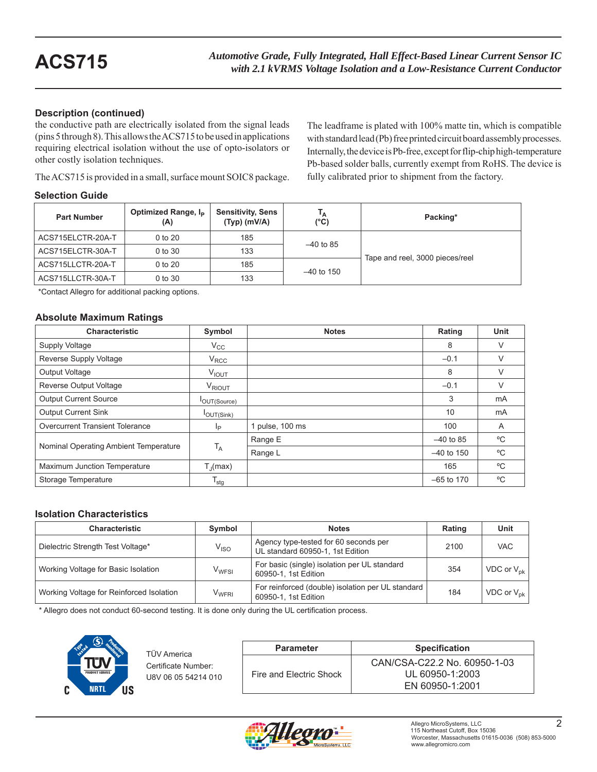The leadframe is plated with 100% matte tin, which is compatible with standard lead (Pb) free printed circuit board assembly processes. Internally, the device is Pb-free, except for flip-chip high-temperature

Tape and reel, 3000 pieces/reel

### **Description (continued)**

the conductive path are electrically isolated from the signal leads (pins 5 through 8). This allows the ACS715 to be used in applications requiring electrical isolation without the use of opto-isolators or other costly isolation techniques.

#### **Selection Guid**

| other costly isolation techniques.<br>The ACS715 is provided in a small, surface mount SOIC8 package. |                                        |                                            |                     | Pb-based solder balls, currently exempt from RoHS. The device is<br>fully calibrated prior to shipment from the factory. |  |  |  |
|-------------------------------------------------------------------------------------------------------|----------------------------------------|--------------------------------------------|---------------------|--------------------------------------------------------------------------------------------------------------------------|--|--|--|
| Selection Guide                                                                                       |                                        |                                            |                     |                                                                                                                          |  |  |  |
| <b>Part Number</b>                                                                                    | Optimized Range, I <sub>p</sub><br>(A) | <b>Sensitivity, Sens</b><br>$(Tvp)$ (mV/A) | Тд<br>$(^{\circ}C)$ | Packing*                                                                                                                 |  |  |  |
| ACS715ELCTR-20A-T                                                                                     | 0 to 20                                | 185                                        |                     |                                                                                                                          |  |  |  |
| ACS715ELCTR-30A-T                                                                                     | 0 to 30                                | 133                                        | $-40$ to 85         |                                                                                                                          |  |  |  |

–40 to 150

\*Contact Allegro for additional packing options.

ACS715LLCTR-20A-T 0 to 20 185

ACS715LLCTR-30A-T 0 to 30 133

#### **Absolute Maximum Ratings**

| Characteristic                         | Symbol                      | <b>Notes</b>    | Rating       | Unit |
|----------------------------------------|-----------------------------|-----------------|--------------|------|
| Supply Voltage                         | $V_{\rm CC}$                |                 | 8            | V    |
| Reverse Supply Voltage                 | $V_{RCC}$                   |                 | $-0.1$       | V    |
| <b>Output Voltage</b>                  | <b>VIOUT</b>                |                 | 8            | V    |
| Reverse Output Voltage                 | V <sub>RIOUT</sub>          |                 | $-0.1$       | V    |
| Output Current Source                  | OUT(Source)                 |                 | 3            | mA   |
| <b>Output Current Sink</b>             | $I_{OUT(Sink)}$             |                 | 10           | mA   |
| <b>Overcurrent Transient Tolerance</b> | Ιp                          | 1 pulse, 100 ms | 100          | A    |
| Nominal Operating Ambient Temperature  |                             | Range E         | $-40$ to 85  | °C   |
|                                        | $T_A$                       | Range L         | $-40$ to 150 | °C   |
| Maximum Junction Temperature           | $T_{\rm J}$ (max)           |                 | 165          | °C   |
| Storage Temperature                    | $\mathsf{T}_{\mathsf{stg}}$ |                 | $-65$ to 170 | °C   |

#### **Isolation Characteristics**

| <b>Characteristic</b>                    | Symbol                  | <b>Notes</b>                                                              | Rating | Unit            |
|------------------------------------------|-------------------------|---------------------------------------------------------------------------|--------|-----------------|
| Dielectric Strength Test Voltage*        | $V_{\rm ISO}$           | Agency type-tested for 60 seconds per<br>UL standard 60950-1, 1st Edition | 2100   | VAC.            |
| Working Voltage for Basic Isolation      | V <sub>WFSI</sub>       | For basic (single) isolation per UL standard<br>60950-1, 1st Edition      | 354    | VDC or $V_{nk}$ |
| Working Voltage for Reinforced Isolation | <b>V<sub>WFRI</sub></b> | For reinforced (double) isolation per UL standard<br>60950-1, 1st Edition | 184    | VDC or $V_{nk}$ |

\* Allegro does not conduct 60-second testing. It is done only during the UL certification process.



| TÜV America                                | <b>Parameter</b>        | <b>Specification</b>                                               |
|--------------------------------------------|-------------------------|--------------------------------------------------------------------|
| Certificate Number:<br>U8V 06 05 54214 010 | Fire and Electric Shock | CAN/CSA-C22.2 No. 60950-1-03<br>UL 60950-1:2003<br>EN 60950-1:2001 |

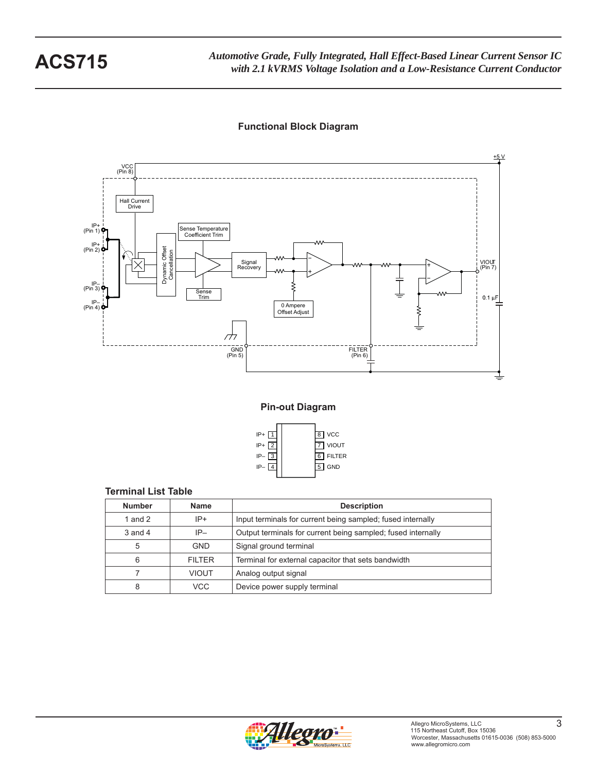*Automotive Grade, Fully Integrated, Hall Effect-Based Linear Current Sensor IC* **ACS715** *with 2.1 kVRMS Voltage Isolation and a Low-Resistance Current Conductor*

### **Functional Block Diagram**



**Pin-out Diagram**



#### **Terminal List Table**

| <b>Number</b> | <b>Name</b>  | <b>Description</b>                                           |
|---------------|--------------|--------------------------------------------------------------|
| 1 and $2$     | $IP+$        | Input terminals for current being sampled; fused internally  |
| $3$ and $4$   | $IP-$        | Output terminals for current being sampled; fused internally |
| 5             | <b>GND</b>   | Signal ground terminal                                       |
| 6             | FII TFR      | Terminal for external capacitor that sets bandwidth          |
|               | <b>VIOUT</b> | Analog output signal                                         |
| 8             | VCC          | Device power supply terminal                                 |

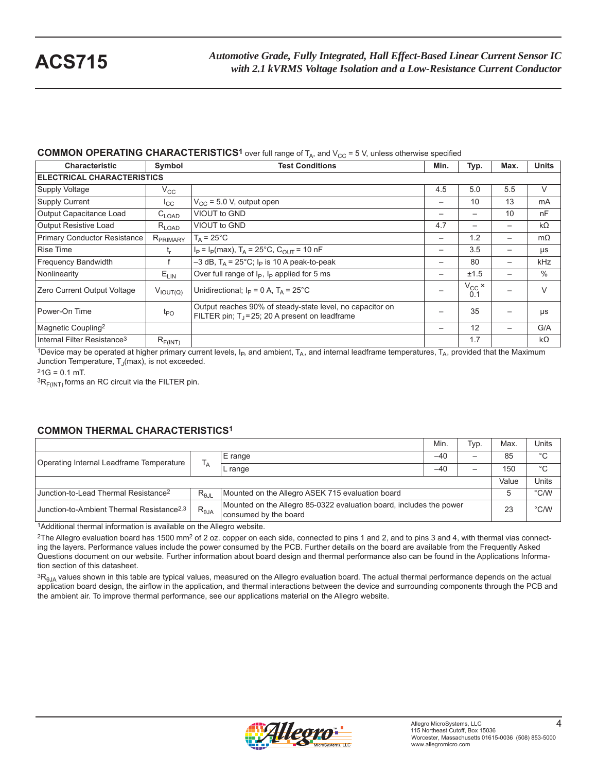#### **COMMON OPERATING CHARACTERISTICS<sup>1</sup>** over full range of  $T_A$ , and  $V_{CC}$  = 5 V, unless otherwise specified

| <b>Characteristic</b>                   | Symbol               | <b>Test Conditions</b>                                                                                          |                          | Typ.                              | Max.            | <b>Units</b> |
|-----------------------------------------|----------------------|-----------------------------------------------------------------------------------------------------------------|--------------------------|-----------------------------------|-----------------|--------------|
| <b>ELECTRICAL CHARACTERISTICS</b>       |                      |                                                                                                                 |                          |                                   |                 |              |
| <b>Supply Voltage</b>                   | $V_{\rm CC}$         |                                                                                                                 | 4.5                      | 5.0                               | 5.5             | $\vee$       |
| <b>Supply Current</b>                   | ICC                  | $V_{CC}$ = 5.0 V, output open                                                                                   | $\qquad \qquad$          | 10                                | 13              | mA           |
| Output Capacitance Load                 | $C_{LOAD}$           | VIOUT to GND                                                                                                    |                          |                                   | 10              | nF           |
| Output Resistive Load                   | $R_{LOAD}$           | VIOUT to GND                                                                                                    | 4.7                      | $\qquad \qquad$                   | —               | $k\Omega$    |
| Primary Conductor Resistance            | R <sub>PRIMARY</sub> | $T_A = 25^{\circ}$ C                                                                                            | $\overline{\phantom{m}}$ | 1.2                               | $\qquad \qquad$ | $m\Omega$    |
| <b>Rise Time</b>                        | t,                   | $I_P = I_P$ (max), T <sub>A</sub> = 25°C, C <sub>OUT</sub> = 10 nF                                              | $\overline{\phantom{m}}$ | 3.5                               | $\qquad \qquad$ | μs           |
| <b>Frequency Bandwidth</b>              |                      | $-3$ dB, T <sub>A</sub> = 25°C; I <sub>P</sub> is 10 A peak-to-peak                                             |                          | 80                                |                 | kHz          |
| Nonlinearity                            | $E_{LIN}$            | Over full range of $I_P$ , $I_P$ applied for 5 ms                                                               | $\overline{\phantom{m}}$ | ±1.5                              |                 | $\%$         |
| Zero Current Output Voltage             | $V_{IOUT(Q)}$        | Unidirectional; $I_P = 0$ A, $T_A = 25^{\circ}$ C                                                               |                          | $V_{\substack{CC\\0.1}}$ $\times$ |                 | $\vee$       |
| Power-On Time                           | $t_{PO}$             | Output reaches 90% of steady-state level, no capacitor on<br>FILTER pin; $T_1 = 25$ ; 20 A present on leadframe |                          | 35                                |                 | μs           |
| Magnetic Coupling <sup>2</sup>          |                      |                                                                                                                 | $\overline{\phantom{m}}$ | 12                                | —               | G/A          |
| Internal Filter Resistance <sup>3</sup> | $R_{F(INT)}$         |                                                                                                                 |                          | 1.7                               |                 | kΩ           |

1Device may be operated at higher primary current levels,  $I_{P}$ , and ambient,  $T_A$ , and internal leadframe temperatures,  $T_A$ , provided that the Maximum Junction Temperature,  $T_J$ (max), is not exceeded.

 $21G = 0.1$  mT.

 ${}^{3}R_{F(INT)}$  forms an RC circuit via the FILTER pin.

### **COMMON THERMAL CHARACTERISTICS1**

|                                                                                                                        |                                                   |                                                                                              | Min.          | Typ.                     | Max.  | Units         |
|------------------------------------------------------------------------------------------------------------------------|---------------------------------------------------|----------------------------------------------------------------------------------------------|---------------|--------------------------|-------|---------------|
| Operating Internal Leadframe Temperature                                                                               | ۱Ā                                                | E range                                                                                      | $-40$         |                          | 85    | $^{\circ}C$   |
|                                                                                                                        |                                                   | L range                                                                                      | $-40$         | $\overline{\phantom{0}}$ | 150   | °C            |
|                                                                                                                        |                                                   |                                                                                              |               |                          | Value | Units         |
| Junction-to-Lead Thermal Resistance <sup>2</sup><br>Mounted on the Allegro ASEK 715 evaluation board<br>$R_{\theta$ JL |                                                   |                                                                                              | $\degree$ C/W |                          |       |               |
| Junction-to-Ambient Thermal Resistance <sup>2,3</sup>                                                                  | $\mathsf{R}_{\textsf{\scriptsize{\textsf{6JA}}}}$ | Mounted on the Allegro 85-0322 evaluation board, includes the power<br>consumed by the board |               |                          | 23    | $\degree$ C/W |

1Additional thermal information is available on the Allegro website.

 $2$ The Allegro evaluation board has 1500 mm<sup>2</sup> of 2 oz. copper on each side, connected to pins 1 and 2, and to pins 3 and 4, with thermal vias connecting the layers. Performance values include the power consumed by the PCB. Further details on the board are available from the Frequently Asked Questions document on our website. Further information about board design and thermal performance also can be found in the Applications Information section of this datasheet.

3R<sub>eJA</sub> values shown in this table are typical values, measured on the Allegro evaluation board. The actual thermal performance depends on the actual application board design, the airflow in the application, and thermal interactions between the device and surrounding components through the PCB and the ambient air. To improve thermal performance, see our applications material on the Allegro website.

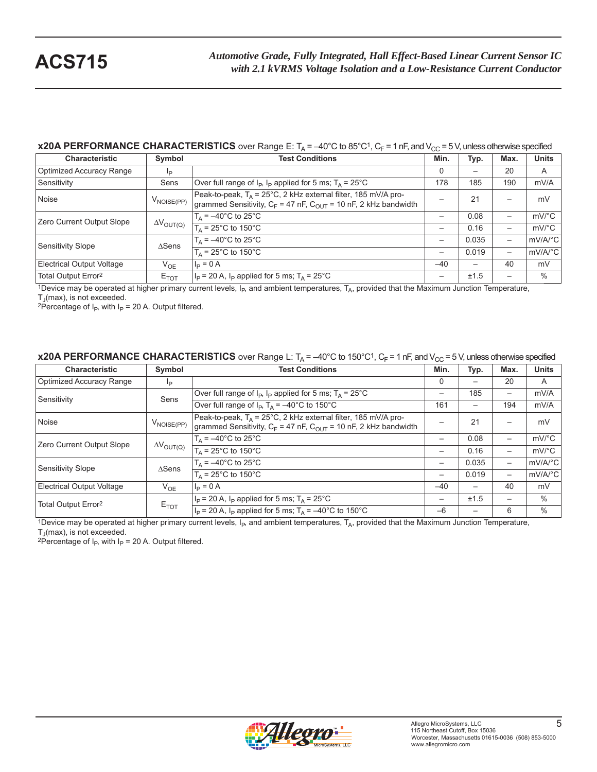### **x20A PERFORMANCE CHARACTERISTICS** over Range E:  $T_A = -40^\circ C$  to 85°C<sup>1</sup>,  $C_F = 1$  nF, and  $V_{CC} = 5$  V, unless otherwise specified

| <b>Characteristic</b>           | Symbol                                   | Min.<br><b>Test Conditions</b>                                                                                                                                      |                          | Typ.                     | Max.                | <b>Units</b>        |
|---------------------------------|------------------------------------------|---------------------------------------------------------------------------------------------------------------------------------------------------------------------|--------------------------|--------------------------|---------------------|---------------------|
| Optimized Accuracy Range        | lp                                       |                                                                                                                                                                     | $\Omega$                 |                          | 20                  | A                   |
| Sensitivity                     | Sens                                     | Over full range of $I_P$ , $I_P$ applied for 5 ms; $T_A = 25^{\circ}$ C                                                                                             | 178                      | 185                      | 190                 | mV/A                |
| Noise                           | V <sub>NOISE(PP)</sub>                   | Peak-to-peak, T <sub>A</sub> = 25°C, 2 kHz external filter, 185 mV/A pro-<br>grammed Sensitivity, C <sub>F</sub> = 47 nF, C <sub>OUT</sub> = 10 nF, 2 kHz bandwidth |                          | 21                       |                     | mV                  |
| Zero Current Output Slope       |                                          | $T_A = -40^{\circ}$ C to 25 $^{\circ}$ C                                                                                                                            | $\overline{\phantom{0}}$ | 0.08                     | —                   | $mV$ <sup>o</sup> C |
| $\Delta V_{\text{OUT(Q)}}$      | $T_A = 25^{\circ}$ C to 150 $^{\circ}$ C | $\overline{\phantom{0}}$                                                                                                                                            | 0.16                     | —                        | $mV$ <sup>o</sup> C |                     |
| Sensitivity Slope               | $\triangle$ Sens                         | $T_A = -40^{\circ}$ C to 25°C                                                                                                                                       | $\overline{\phantom{0}}$ | 0.035                    | -                   | mV/A/°C             |
|                                 |                                          | $T_A = 25^{\circ}$ C to 150 $\circ$ C                                                                                                                               | $\overline{\phantom{m}}$ | 0.019                    | —                   | mV/A/°C             |
| Electrical Output Voltage       | $V_{OE}$                                 | $I_P = 0 A$                                                                                                                                                         | $-40$                    | $\overline{\phantom{0}}$ | 40                  | mV                  |
| Total Output Error <sup>2</sup> | $E_{TOT}$                                | $I_P$ = 20 A, $I_P$ applied for 5 ms; $T_A$ = 25°C                                                                                                                  | —                        | ±1.5                     | -                   | $\%$                |

<sup>1</sup>Device may be operated at higher primary current levels,  $I_P$ , and ambient temperatures,  $T_A$ , provided that the Maximum Junction Temperature,  $T_J$ (max), is not exceeded.

<sup>2</sup>Percentage of I<sub>P</sub>, with I<sub>P</sub> = 20 A. Output filtered.

#### **x20A PERFORMANCE CHARACTERISTICS** over Range L:  $T_A = -40^\circ \text{C}$  to 150°C<sup>1</sup>,  $C_F = 1$  nF, and  $V_{CC} = 5$  V, unless otherwise specified

| <b>Characteristic</b>           | Symbol                     | <b>Test Conditions</b>                                                                                                                             |                          | Typ.                     | Max. | <b>Units</b>          |
|---------------------------------|----------------------------|----------------------------------------------------------------------------------------------------------------------------------------------------|--------------------------|--------------------------|------|-----------------------|
| Optimized Accuracy Range        | Ip                         |                                                                                                                                                    | $\Omega$                 | $\overline{\phantom{0}}$ | 20   | A                     |
| Sensitivity                     | Sens                       | Over full range of $I_P$ , $I_P$ applied for 5 ms; $T_A = 25^{\circ}$ C                                                                            | $\overline{\phantom{m}}$ | 185                      | —    | mV/A                  |
|                                 |                            | Over full range of $I_P$ , $T_A = -40^{\circ}$ C to 150°C                                                                                          | 161                      |                          | 194  | mV/A                  |
| Noise                           | $V_{\text{NOISE(PP)}}$     | Peak-to-peak, $T_A = 25^{\circ}$ C, 2 kHz external filter, 185 mV/A pro-<br>grammed Sensitivity, $C_F$ = 47 nF, $C_{OUT}$ = 10 nF, 2 kHz bandwidth |                          | 21                       |      | mV                    |
| Zero Current Output Slope       |                            | $T_A = -40^{\circ}$ C to 25°C                                                                                                                      | $\overline{\phantom{m}}$ | 0.08                     | —    | $mV$ <sup>o</sup> $C$ |
|                                 | $\Delta V_{\text{OUT(Q)}}$ | $T_A$ = 25°C to 150°C                                                                                                                              | —                        | 0.16                     | —    | $mV$ <sup>o</sup> C   |
| Sensitivity Slope               | $\triangle$ Sens           | $T_A = -40^{\circ}$ C to $25^{\circ}$ C                                                                                                            | $\overline{\phantom{m}}$ | 0.035                    |      | mV/A/°C               |
|                                 |                            | $T_A$ = 25°C to 150°C                                                                                                                              | $\overline{\phantom{m}}$ | 0.019                    | —    | mV/A/°C               |
| Electrical Output Voltage       | $V_{OE}$                   | $I_P = 0 A$                                                                                                                                        | $-40$                    | $\overline{\phantom{0}}$ | 40   | mV                    |
| Total Output Error <sup>2</sup> | $E_{TOT}$                  | $I_P$ = 20 A, $I_P$ applied for 5 ms; $T_A$ = 25°C                                                                                                 | $\overline{\phantom{m}}$ | ±1.5                     | —    | $\%$                  |
|                                 |                            | $I_P$ = 20 A, $I_P$ applied for 5 ms; $T_A$ = -40°C to 150°C                                                                                       | $-6$                     |                          | 6    | $\%$                  |

1Device may be operated at higher primary current levels,  $I_{P}$ , and ambient temperatures,  $T_A$ , provided that the Maximum Junction Temperature,  $T_A$ (max), is not exceeded.

<sup>2</sup>Percentage of I<sub>P</sub>, with I<sub>P</sub> = 20 A. Output filtered.

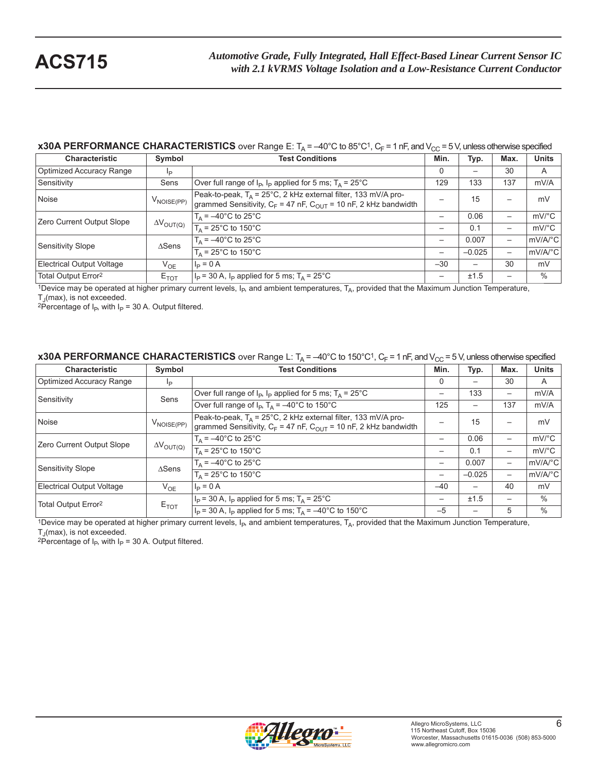### **x30A PERFORMANCE CHARACTERISTICS** over Range E:  $T_A = -40^\circ C$  to 85°C<sup>1</sup>,  $C_F = 1$  nF, and  $V_{CC} = 5$  V, unless otherwise specified

| <b>Characteristic</b>           | Symbol                                   | Min.<br><b>Test Conditions</b>                                                                                                                     |                          | Typ.                     | Max.                | <b>Units</b>        |
|---------------------------------|------------------------------------------|----------------------------------------------------------------------------------------------------------------------------------------------------|--------------------------|--------------------------|---------------------|---------------------|
| Optimized Accuracy Range        | lp                                       |                                                                                                                                                    | $\Omega$                 | $\overline{\phantom{0}}$ | 30                  | A                   |
| Sensitivity                     | Sens                                     | Over full range of $I_P$ , $I_P$ applied for 5 ms; $T_A = 25^{\circ}$ C                                                                            | 129                      | 133                      | 137                 | mV/A                |
| Noise                           | $V_{\text{NOISE(PP)}}$                   | Peak-to-peak, $T_A = 25^{\circ}$ C, 2 kHz external filter, 133 mV/A pro-<br>grammed Sensitivity, $C_F$ = 47 nF, $C_{OUT}$ = 10 nF, 2 kHz bandwidth |                          | 15                       |                     | mV                  |
| Zero Current Output Slope       |                                          | $T_A = -40^{\circ}$ C to 25°C                                                                                                                      | —                        | 0.06                     | —                   | $mV$ <sup>o</sup> C |
| $\Delta V_{\text{OUT(Q)}}$      | $T_A = 25^{\circ}$ C to 150 $^{\circ}$ C | —                                                                                                                                                  | 0.1                      | -                        | $mV$ <sup>o</sup> C |                     |
| Sensitivity Slope               | $\triangle$ Sens                         | $T_A = -40^{\circ}$ C to 25°C                                                                                                                      | $\overline{\phantom{m}}$ | 0.007                    | —                   | mV/A/°C             |
|                                 |                                          | $T_A = 25^{\circ}$ C to 150 $^{\circ}$ C                                                                                                           |                          | $-0.025$                 | —                   | mV/A/°C             |
| Electrical Output Voltage       | $V_{OE}$                                 | $I_P = 0 A$                                                                                                                                        | $-30$                    | $\overline{\phantom{0}}$ | 30                  | mV                  |
| Total Output Error <sup>2</sup> | $E_{TOT}$                                | $I_P$ = 30 A, $I_P$ applied for 5 ms; $T_A$ = 25°C                                                                                                 | —                        | ±1.5                     | -                   | $\%$                |

<sup>1</sup>Device may be operated at higher primary current levels,  $I_P$ , and ambient temperatures,  $T_A$ , provided that the Maximum Junction Temperature,  $T_A$ (max), is not exceeded.

<sup>2</sup>Percentage of I<sub>P</sub>, with I<sub>P</sub> = 30 A. Output filtered.

#### **x30A PERFORMANCE CHARACTERISTICS** over Range L:  $T_A = -40^{\circ}$ C to 150°C<sup>1</sup>,  $C_F = 1$  nF, and V<sub>CC</sub> = 5 V, unless otherwise specified

| <b>Characteristic</b>                                   | Symbol                   | <b>Test Conditions</b>                                                                                                                              | Min.                     | Typ.                     | Max. | <b>Units</b>          |
|---------------------------------------------------------|--------------------------|-----------------------------------------------------------------------------------------------------------------------------------------------------|--------------------------|--------------------------|------|-----------------------|
| Optimized Accuracy Range                                | Ip                       |                                                                                                                                                     | $\Omega$                 |                          | 30   | A                     |
| Sensitivity                                             | Sens                     | Over full range of $I_P$ , $I_P$ applied for 5 ms; $T_A = 25^{\circ}$ C                                                                             | $\overline{\phantom{m}}$ | 133                      | —    | mV/A                  |
|                                                         |                          | Over full range of $I_P$ , $T_A = -40^{\circ}$ C to 150°C                                                                                           | 125                      | $\qquad \qquad$          | 137  | mV/A                  |
| Noise                                                   | $V_{\mathsf{NOISE(PP)}}$ | Peak-to-peak, T <sub>A</sub> = 25°C, 2 kHz external filter, 133 mV/A pro-<br>grammed Sensitivity, $C_F$ = 47 nF, $C_{OUT}$ = 10 nF, 2 kHz bandwidth |                          | 15                       |      | mV                    |
| Zero Current Output Slope<br>$\Delta V_{\text{OUT(Q)}}$ |                          | $T_A = -40^{\circ}$ C to 25°C                                                                                                                       |                          | 0.06                     | -    | $mV$ <sup>o</sup> $C$ |
|                                                         |                          | $T_A$ = 25°C to 150°C                                                                                                                               | —                        | 0.1                      |      | $mV$ °C               |
| Sensitivity Slope                                       | $\triangle$ Sens         | $T_A = -40^{\circ}$ C to 25 $\overline{C}$                                                                                                          | $\overline{\phantom{m}}$ | 0.007                    | —    | mV/A/°C               |
|                                                         |                          | $T_{\Delta}$ = 25°C to 150°C                                                                                                                        | $\overline{\phantom{m}}$ | $-0.025$                 | —    | mV/A/°C               |
| Electrical Output Voltage                               | $V_{OE}$                 | $I_P = 0 A$                                                                                                                                         | $-40$                    | $\overline{\phantom{0}}$ | 40   | mV                    |
| Total Output Error <sup>2</sup>                         |                          | $I_P$ = 30 A, $I_P$ applied for 5 ms; $T_A$ = 25°C                                                                                                  | $\overline{\phantom{m}}$ | ±1.5                     | —    | $\%$                  |
|                                                         | $E_{TOT}$                | $I_P$ = 30 A, $I_P$ applied for 5 ms; $T_A$ = -40°C to 150°C                                                                                        | $-5$                     |                          | 5    | $\%$                  |

<sup>1</sup>Device may be operated at higher primary current levels,  $I_{P}$ , and ambient temperatures,  $T_A$ , provided that the Maximum Junction Temperature,  $T_A$ (max), is not exceeded.

<sup>2</sup>Percentage of I<sub>P</sub>, with I<sub>P</sub> = 30 A. Output filtered.

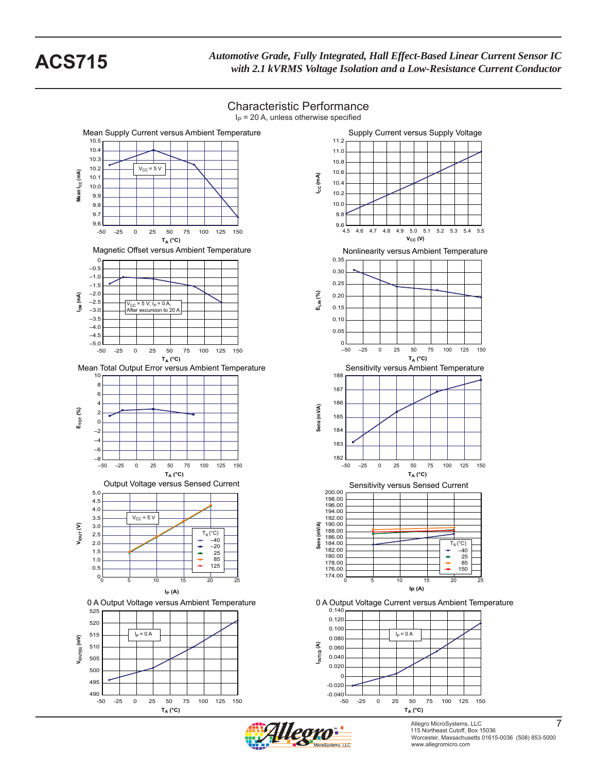*Automotive Grade, Fully Integrated, Hall Effect-Based Linear Current Sensor IC* **ACS715** *with 2.1 kVRMS Voltage Isolation and a Low-Resistance Current Conductor*

# Characteristic Performance











Allegro MicroSystems, LLC 7 115 Northeast Cutoff, Box 15036 Worcester, Massachusetts 01615-0036 (508) 853-5000 www.allegromicro.com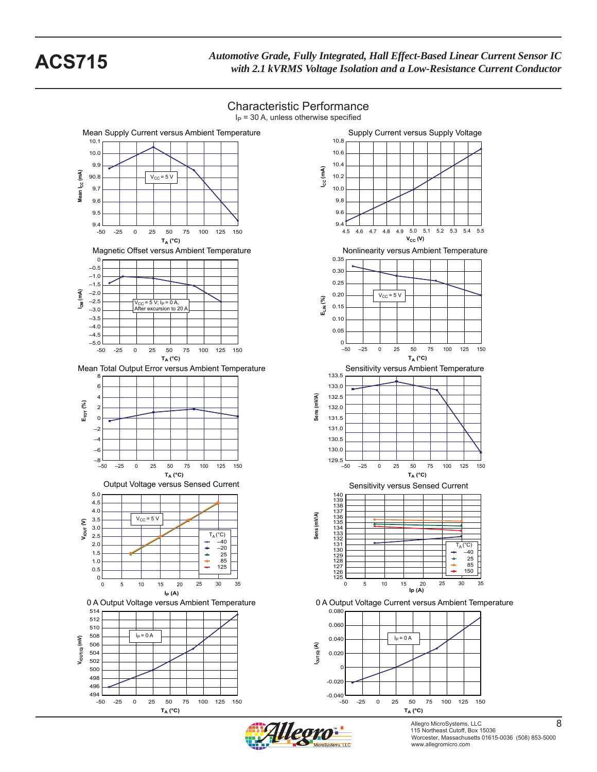*Automotive Grade, Fully Integrated, Hall Effect-Based Linear Current Sensor IC* **ACS715** *with 2.1 kVRMS Voltage Isolation and a Low-Resistance Current Conductor*









Allegro MicroSystems, LLC 8 115 Northeast Cutoff, Box 15036 Worcester, Massachusetts 01615-0036 (508) 853-5000 www.allegromicro.com

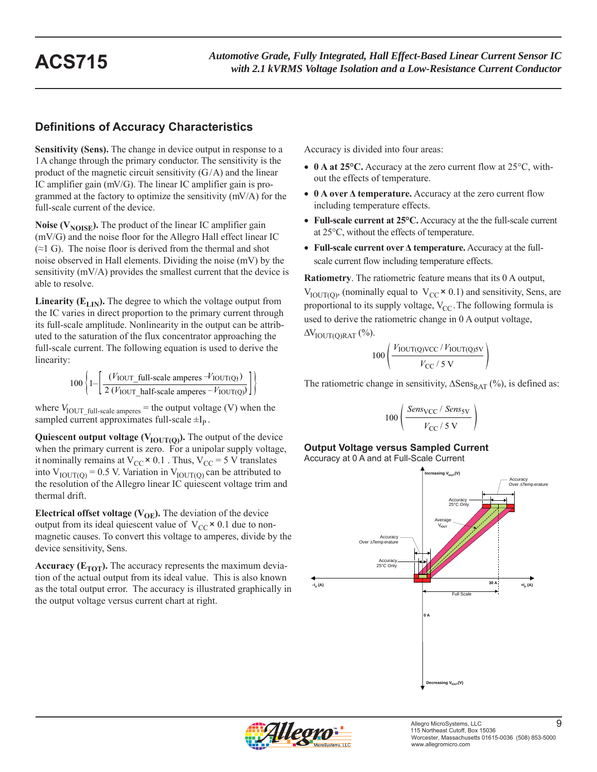# **Definitions of Accuracy Characteristics**

**Sensitivity (Sens).** The change in device output in response to a 1 A change through the primary conductor. The sensitivity is the product of the magnetic circuit sensitivity  $(G/A)$  and the linear IC amplifier gain (mV/G). The linear IC amplifier gain is programmed at the factory to optimize the sensitivity (mV/A) for the full-scale current of the device.

**Noise (** $V_{\text{NOISE}}$ **).** The product of the linear IC amplifier gain (mV/G) and the noise floor for the Allegro Hall effect linear IC  $(\approx 1 \text{ G})$ . The noise floor is derived from the thermal and shot noise observed in Hall elements. Dividing the noise (mV) by the sensitivity (mV/A) provides the smallest current that the device is able to resolve.

**Linearity (** $E_{LIN}$ **).** The degree to which the voltage output from the IC varies in direct proportion to the primary current through its full-scale amplitude. Nonlinearity in the output can be attributed to the saturation of the flux concentrator approaching the full-scale current. The following equation is used to derive the linearity:

$$
100\left\{1-\left[\frac{(V_{\text{IOUT\_full-scale amperes}} - V_{\text{IOUT(Q)}})}{2(V_{\text{IOUT\_half-scale amperes}} - V_{\text{IOUT(Q)}})}\right]\right\}
$$

where  $V_{\text{IOUT}\_{\text{full-scale amperes}} =$  the output voltage (V) when the sampled current approximates full-scale  $\pm I_p$ .

**Quiescent output voltage (** $V_{\text{IOUT(Q)}}$ **).** The output of the device when the primary current is zero. For a unipolar supply voltage, it nominally remains at  $V_{CC} \times 0.1$ . Thus,  $V_{CC} = 5$  V translates into  $V_{\text{IOUT}(Q)} = 0.5$  V. Variation in  $V_{\text{IOUT}(Q)}$  can be attributed to the resolution of the Allegro linear IC quiescent voltage trim and thermal drift.

**Electrical offset voltage (** $V_{OE}$ **).** The deviation of the device output from its ideal quiescent value of  $V_{CC} \times 0.1$  due to nonmagnetic causes. To convert this voltage to amperes, divide by the device sensitivity, Sens.

**Accuracy (** $E_{TOT}$ **).** The accuracy represents the maximum deviation of the actual output from its ideal value. This is also known as the total output error. The accuracy is illustrated graphically in the output voltage versus current chart at right.

Accuracy is divided into four areas:

- **0 A at 25°C.** Accuracy at the zero current flow at 25°C, without the effects of temperature.
- **0 A over Δ temperature.** Accuracy at the zero current flow including temperature effects.
- **Full-scale current at 25°C.** Accuracy at the the full-scale current at 25°C, without the effects of temperature.
- **Full-scale current over Δ temperature.** Accuracy at the fullscale current flow including temperature effects.

**Ratiometry**. The ratiometric feature means that its 0 A output,  $V_{\text{IOUT(Q)}}$ , (nominally equal to  $V_{\text{CC}} \times 0.1$ ) and sensitivity, Sens, are proportional to its supply voltage,  $V_{CC}$ . The following formula is used to derive the ratiometric change in 0 A output voltage,  $\Delta V_{\text{IOUT}(\text{OR AT})}$  (%).

$$
100\left(\frac{V_{\text{IOUT(Q)VCC}}/V_{\text{IOUT(Q)SV}}}{V_{\text{CC}}/5\text{ V}}\right)
$$

The ratiometric change in sensitivity,  $\Delta$ Sens<sub>RAT</sub> (%), is defined as:

$$
100\left(\frac{Sens_{\rm VCC} / Sens_{\rm SV}}{V_{\rm CC} / 5 \text{ V}}\right)
$$

**Output Voltage versus Sampled Current** Accuracy at 0 A and at Full-Scale Current



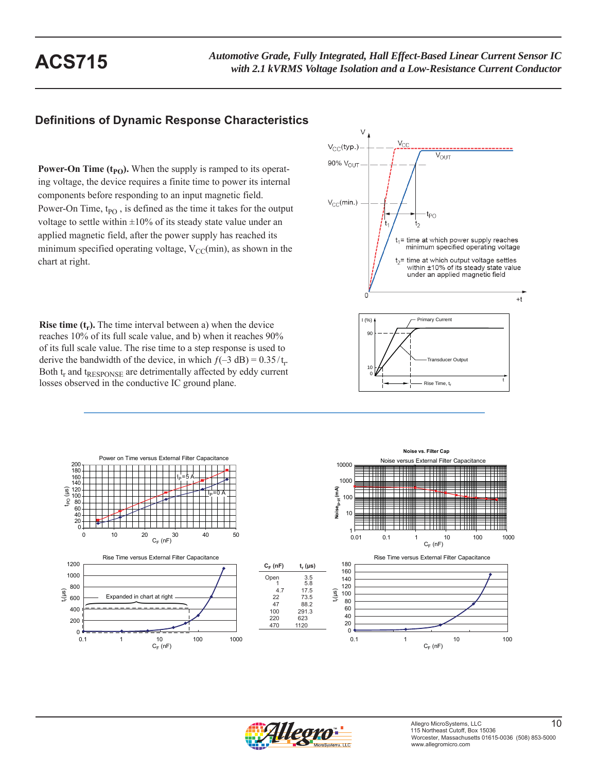# **Definitions of Dynamic Response Characteristics**

**Power-On Time**  $(t_{PO})$ **.** When the supply is ramped to its operating voltage, the device requires a finite time to power its internal components before responding to an input magnetic field. Power-On Time,  $t_{PO}$ , is defined as the time it takes for the output voltage to settle within  $\pm 10\%$  of its steady state value under an applied magnetic field, after the power supply has reached its minimum specified operating voltage,  $V_{CC}(min)$ , as shown in the chart at right.

V,  $V_{CC}$ (typ.)  $\overline{V_{\text{OUT}}}$ 90% V<sub>OUT</sub>  $V_{CC}(min.)$ t<sub>PO</sub>  $t_1$ = time at which power supply reaches minimum specified operating voltage  $t_2$ = time at which output voltage settles within ±10% of its steady state value under an applied magnetic field  $+t$ 



**Rise time**  $(t_r)$ **.** The time interval between a) when the device reaches 10% of its full scale value, and b) when it reaches 90% of its full scale value. The rise time to a step response is used to derive the bandwidth of the device, in which  $f(-3 \text{ dB}) = 0.35/t_r$ . Both t<sub>r</sub> and t<sub>RESPONSE</sub> are detrimentally affected by eddy current losses observed in the conductive IC ground plane.



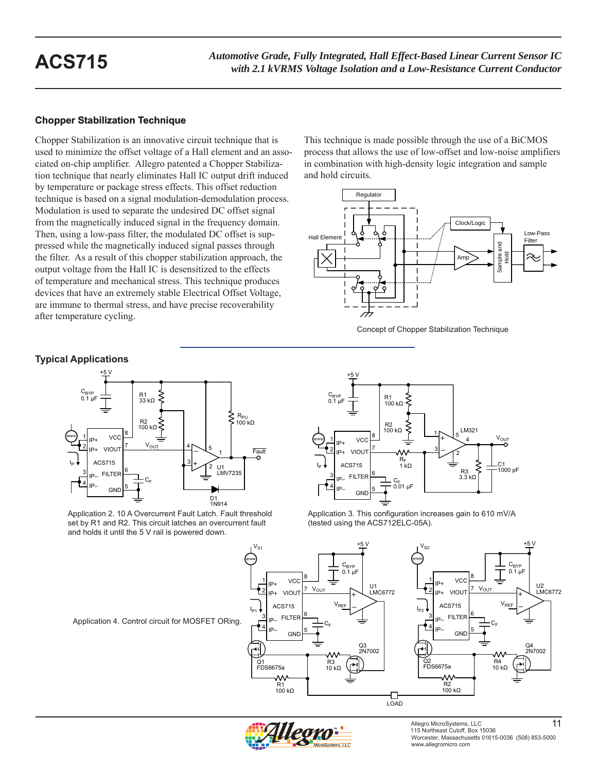### **Chopper Stabilization Technique**

Chopper Stabilization is an innovative circuit technique that is used to minimize the offset voltage of a Hall element and an associated on-chip amplifier. Allegro patented a Chopper Stabilization technique that nearly eliminates Hall IC output drift induced by temperature or package stress effects. This offset reduction technique is based on a signal modulation-demodulation process. Modulation is used to separate the undesired DC offset signal from the magnetically induced signal in the frequency domain. Then, using a low-pass filter, the modulated DC offset is suppressed while the magnetically induced signal passes through the filter. As a result of this chopper stabilization approach, the output voltage from the Hall IC is desensitized to the effects of temperature and mechanical stress. This technique produces devices that have an extremely stable Electrical Offset Voltage, are immune to thermal stress, and have precise recoverability after temperature cycling.

**Typical Applications**



Application 2. 10 A Overcurrent Fault Latch. Fault threshold set by R1 and R2. This circuit latches an overcurrent fault and holds it until the 5 V rail is powered down.

This technique is made possible through the use of a BiCMOS process that allows the use of low-offset and low-noise amplifiers in combination with high-density logic integration and sample and hold circuits.







Application 3. This configuration increases gain to 610 mV/A (tested using the ACS712ELC-05A).







Allegro MicroSystems, LLC 11 115 Northeast Cutoff, Box 15036 Worcester, Massachusetts 01615-0036 (508) 853-5000 www.allegromicro.com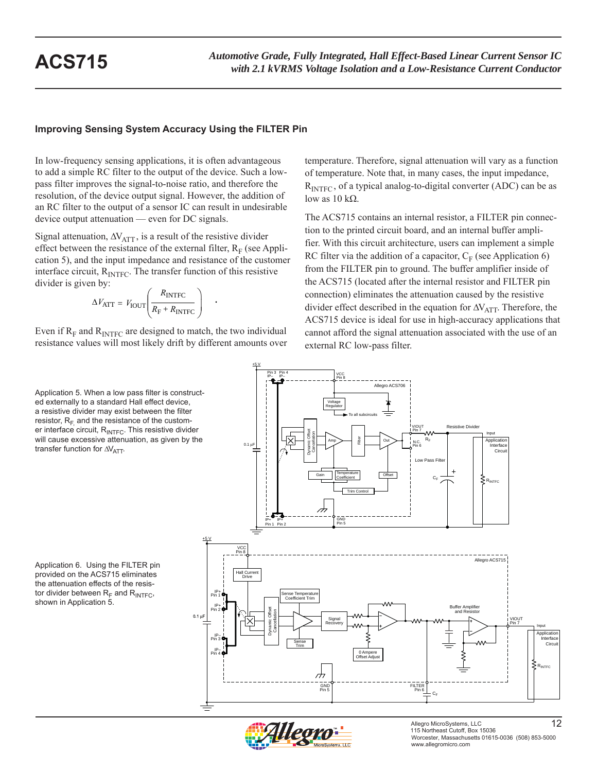### **Improving Sensing System Accuracy Using the FILTER Pin**

In low-frequency sensing applications, it is often advantageous to add a simple RC filter to the output of the device. Such a lowpass filter improves the signal-to-noise ratio, and therefore the resolution, of the device output signal. However, the addition of an RC filter to the output of a sensor IC can result in undesirable device output attenuation — even for DC signals.

Signal attenuation,  $\Delta V_{\text{ATT}}$ , is a result of the resistive divider effect between the resistance of the external filter,  $R_F$  (see Application 5), and the input impedance and resistance of the customer interface circuit,  $R_{\text{INTER}}$ . The transfer function of this resistive divider is given by:

$$
\Delta V_{\text{ATT}} = V_{\text{IOUT}} \left( \frac{R_{\text{INTER}}}{R_{\text{F}} + R_{\text{INTER}}} \right) .
$$

Even if  $R_F$  and  $R_{\text{INTER}}$  are designed to match, the two individual resistance values will most likely drift by different amounts over

Application 5. When a low pass filter is constructed externally to a standard Hall effect device, a resistive divider may exist between the filter resistor,  $R_F$  and the resistance of the customer interface circuit, R<sub>INTFC</sub>. This resistive divider will cause excessive attenuation, as given by the transfer function for  $\Delta V_{\text{ATT}}$ .

Application 6. Using the FILTER pin provided on the ACS715 eliminates the attenuation effects of the resistor divider between  $R_F$  and  $R_{\text{INTER}}$ , shown in Application 5.

temperature. Therefore, signal attenuation will vary as a function of temperature. Note that, in many cases, the input impedance,  $R<sub>INTFC</sub>$ , of a typical analog-to-digital converter (ADC) can be as low as  $10$  kΩ.

The ACS715 contains an internal resistor, a FILTER pin connection to the printed circuit board, and an internal buffer amplifier. With this circuit architecture, users can implement a simple RC filter via the addition of a capacitor,  $C_F$  (see Application 6) from the FILTER pin to ground. The buffer amplifier inside of the ACS715 (located after the internal resistor and FILTER pin connection) eliminates the attenuation caused by the resistive divider effect described in the equation for  $\Delta V_{\text{ATT}}$ . Therefore, the ACS715 device is ideal for use in high-accuracy applications that cannot afford the signal attenuation associated with the use of an external RC low-pass filter.



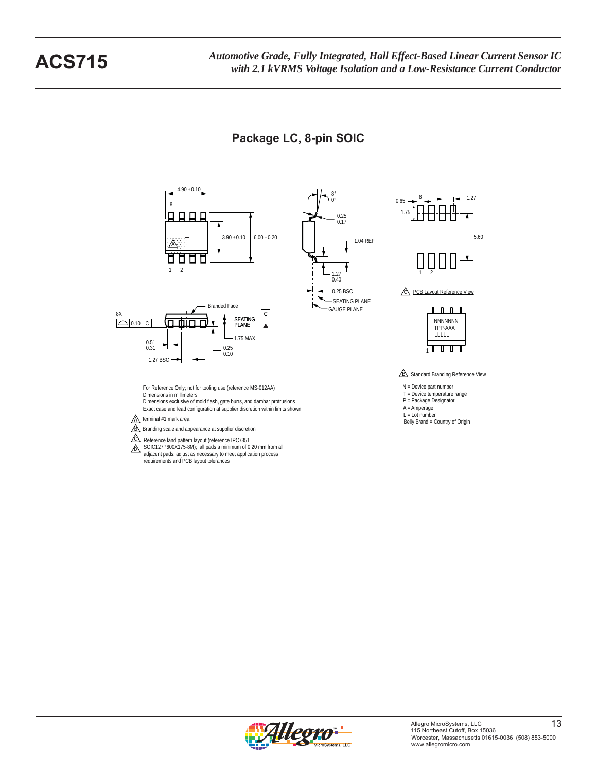# **Package LC, 8-pin SOIC**